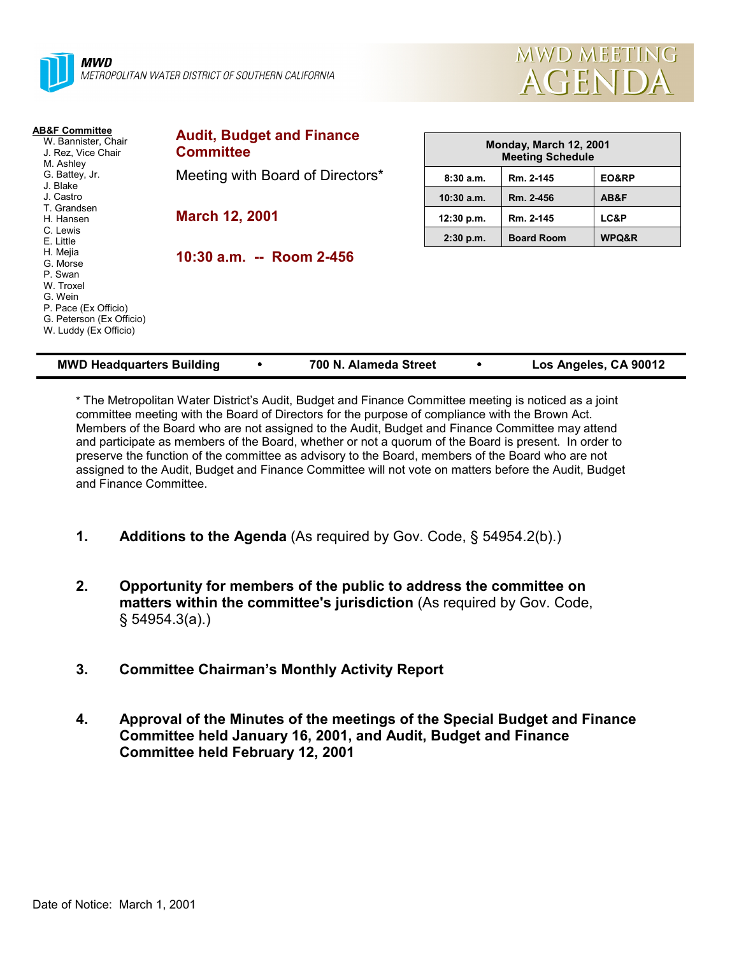



| <b>AB&amp;F Committee</b><br>W. Bannister, Chair<br>J. Rez. Vice Chair<br>M. Ashley                                                  | <b>Audit, Budget and Finance</b><br><b>Committee</b> | Monday, March 12, 2001<br><b>Meeting Schedule</b> |                   |                       |
|--------------------------------------------------------------------------------------------------------------------------------------|------------------------------------------------------|---------------------------------------------------|-------------------|-----------------------|
| G. Battey, Jr.                                                                                                                       | Meeting with Board of Directors*                     | 8:30a.m.                                          | Rm. 2-145         | EO&RP                 |
| J. Blake<br>J. Castro                                                                                                                |                                                      | $10:30$ a.m.                                      | Rm. 2-456         | AB&F                  |
| T. Grandsen<br>H. Hansen                                                                                                             | <b>March 12, 2001</b>                                | 12:30 p.m.                                        | Rm. 2-145         | LC&P                  |
| C. Lewis<br>E. Little                                                                                                                |                                                      | $2:30$ p.m.                                       | <b>Board Room</b> | WPQ&R                 |
| H. Mejia<br>G. Morse<br>P. Swan<br>W. Troxel<br>G. Wein<br>P. Pace (Ex Officio)<br>G. Peterson (Ex Officio)<br>W. Luddy (Ex Officio) | 10:30 a.m. -- Room 2-456                             |                                                   |                   |                       |
| <b>MWD Headquarters Building</b>                                                                                                     | 700 N. Alameda Street                                |                                                   |                   | Los Angeles, CA 90012 |

\* The Metropolitan Water District's Audit, Budget and Finance Committee meeting is noticed as a joint committee meeting with the Board of Directors for the purpose of compliance with the Brown Act. Members of the Board who are not assigned to the Audit, Budget and Finance Committee may attend and participate as members of the Board, whether or not a quorum of the Board is present. In order to preserve the function of the committee as advisory to the Board, members of the Board who are not assigned to the Audit, Budget and Finance Committee will not vote on matters before the Audit, Budget and Finance Committee.

- **1. Additions to the Agenda** (As required by Gov. Code, § 54954.2(b).)
- **2. Opportunity for members of the public to address the committee on matters within the committee's jurisdiction** (As required by Gov. Code, § 54954.3(a).)
- **3. Committee Chairman's Monthly Activity Report**
- **4. Approval of the Minutes of the meetings of the Special Budget and Finance Committee held January 16, 2001, and Audit, Budget and Finance Committee held February 12, 2001**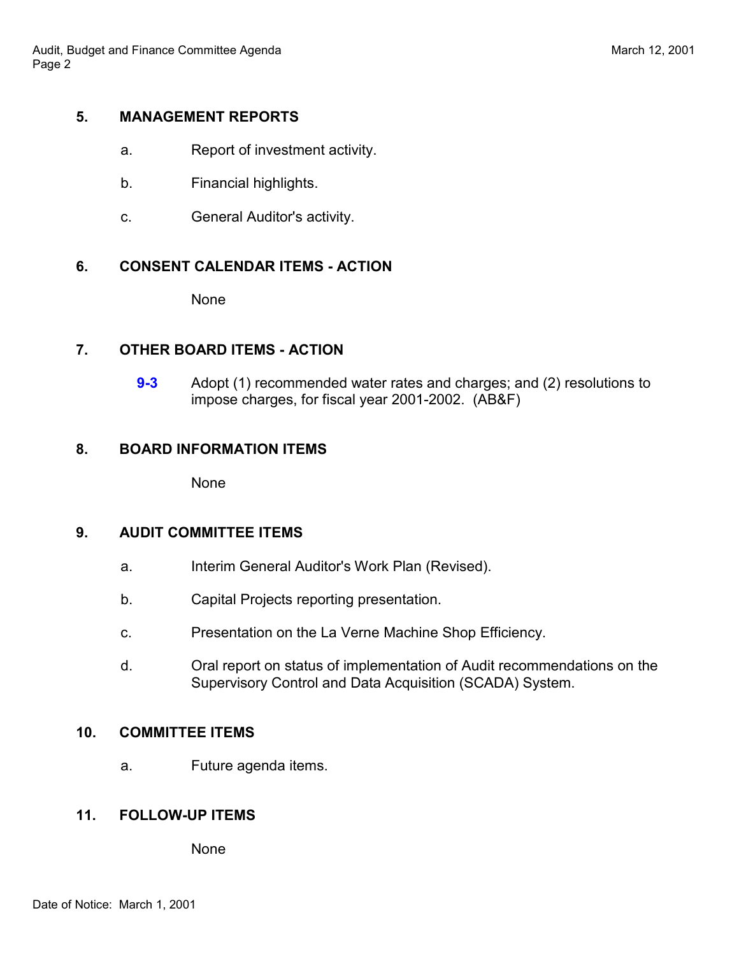# **5. MANAGEMENT REPORTS**

- a. Report of investment activity.
- b. Financial highlights.
- c. General Auditor's activity.

# **6. CONSENT CALENDAR ITEMS - ACTION**

None

## **7. OTHER BOARD ITEMS - ACTION**

**9-3** Adopt (1) recommended water rates and charges; and (2) resolutions to impose charges, for fiscal year 2001-2002. (AB&F)

## **8. BOARD INFORMATION ITEMS**

None

#### **9. AUDIT COMMITTEE ITEMS**

- a. Interim General Auditor's Work Plan (Revised).
- b. Capital Projects reporting presentation.
- c. Presentation on the La Verne Machine Shop Efficiency.
- d. Oral report on status of implementation of Audit recommendations on the Supervisory Control and Data Acquisition (SCADA) System.

## **10. COMMITTEE ITEMS**

a. Future agenda items.

# **11. FOLLOW-UP ITEMS**

None